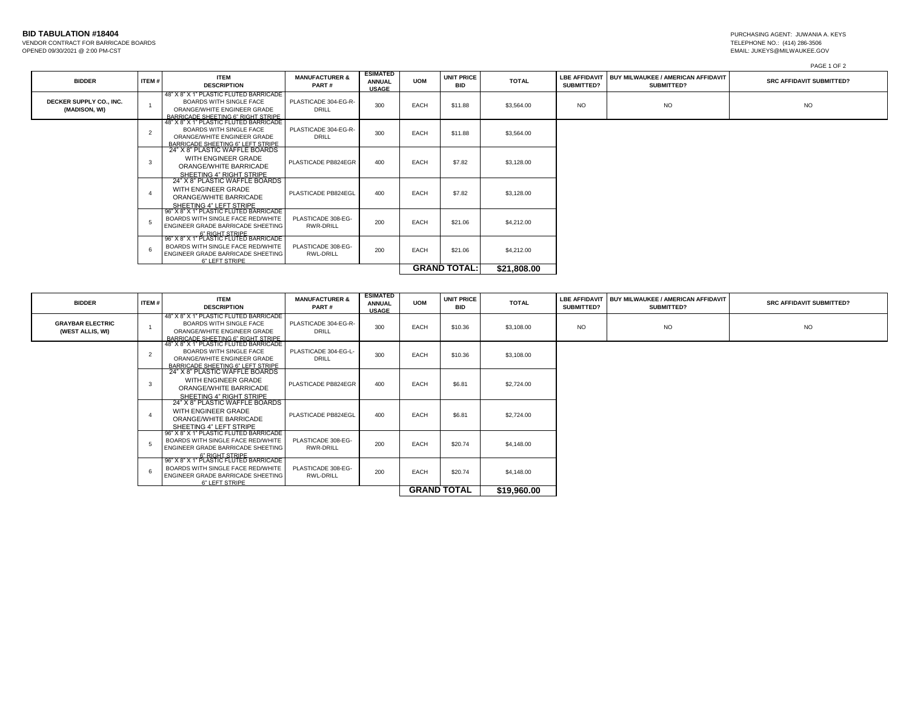| <b>BID TABULATION #18404</b> |  |
|------------------------------|--|
|------------------------------|--|

VENDOR CONTRACT FOR BARRICADE BOARDS

PAGE 1 OF 2

| <b>BIDDER</b>                            | ITEM#          | <b>ITEM</b><br><b>DESCRIPTION</b>                                                                                                             | <b>MANUFACTURER &amp;</b><br>PART#     | <b>ESIMATED</b><br><b>ANNUAL</b><br><b>USAGE</b> | <b>UOM</b>  | <b>UNIT PRICE</b><br><b>BID</b> | <b>TOTAL</b> | <b>LBE AFFIDAVIT</b><br><b>SUBMITTED?</b> | BUY MILWAUKEE / AMERICAN AFFIDAVIT<br>SUBMITTED? | <b>SRC AFFIDAVIT SUBMITTED?</b> |
|------------------------------------------|----------------|-----------------------------------------------------------------------------------------------------------------------------------------------|----------------------------------------|--------------------------------------------------|-------------|---------------------------------|--------------|-------------------------------------------|--------------------------------------------------|---------------------------------|
| DECKER SUPPLY CO., INC.<br>(MADISON, WI) | $\overline{1}$ | 48" X 8" X 1" PLASTIC FLUTED BARRICADE<br><b>BOARDS WITH SINGLE FACE</b><br>ORANGE/WHITE ENGINEER GRADE<br>BARRICADE SHEETING 6" RIGHT STRIPE | PLASTICADE 304-EG-R-<br>DRILL          | 300                                              | EACH        | \$11.88                         | \$3,564.00   | <b>NO</b>                                 | <b>NO</b>                                        | <b>NO</b>                       |
|                                          | $\overline{2}$ | 48" X 8" X 1" PLASTIC FLUTED BARRICADE<br><b>BOARDS WITH SINGLE FACE</b><br>ORANGE/WHITE ENGINEER GRADE<br>BARRICADE SHEETING 6" LEET STRIPE  | PLASTICADE 304-EG-R-<br>DRILL          | 300                                              | EACH        | \$11.88                         | \$3,564.00   |                                           |                                                  |                                 |
|                                          | 3              | 24" X 8" PLASTIC WAFFLE BOARDS<br>WITH ENGINEER GRADE<br>ORANGE/WHITE BARRICADE<br>SHEETING 4" RIGHT STRIPE                                   | PLASTICADE PB824EGR                    | 400                                              | EACH        | \$7.82                          | \$3,128.00   |                                           |                                                  |                                 |
|                                          |                | 24" X 8" PLASTIC WAFFLE BOARDS<br>WITH ENGINEER GRADE<br>ORANGE/WHITE BARRICADE<br>SHEETING 4" LEFT STRIPE                                    | PLASTICADE PB824EGL                    | 400                                              | <b>EACH</b> | \$7.82                          | \$3,128.00   |                                           |                                                  |                                 |
|                                          |                | 96" X 8" X 1" PLASTIC FLUTED BARRICADE<br>BOARDS WITH SINGLE FACE RED/WHITE<br>ENGINEER GRADE BARRICADE SHEETING<br>6" RIGHT STRIPE           | PLASTICADE 308-EG-<br><b>RWR-DRILL</b> | 200                                              | EACH        | \$21.06                         | \$4,212.00   |                                           |                                                  |                                 |
|                                          |                | 96" X 8" X 1" PLASTIC FLUTED BARRICADE<br>BOARDS WITH SINGLE FACE RED/WHITE<br>ENGINEER GRADE BARRICADE SHEETING<br>6" LEFT STRIPE            | PLASTICADE 308-EG-<br>RWL-DRILL        | 200                                              | EACH        | \$21.06                         | \$4,212.00   |                                           |                                                  |                                 |
|                                          |                |                                                                                                                                               |                                        |                                                  |             | <b>GRAND TOTAL:</b>             | \$21,808.00  |                                           |                                                  |                                 |

| <b>BIDDER</b>                               | ITEM#          | <b>ITEM</b><br><b>DESCRIPTION</b>                                                                                                             | <b>MANUFACTURER &amp;</b><br>PART#     | <b>ESIMATED</b><br><b>ANNUAL</b><br><b>USAGE</b> | <b>UOM</b> | <b>UNIT PRICE</b><br><b>BID</b> | <b>TOTAL</b> | <b>SUBMITTED?</b> | LBE AFFIDAVIT I BUY MILWAUKEE / AMERICAN AFFIDAVIT<br><b>SUBMITTED?</b> | <b>SRC AFFIDAVIT SUBMITTED?</b> |
|---------------------------------------------|----------------|-----------------------------------------------------------------------------------------------------------------------------------------------|----------------------------------------|--------------------------------------------------|------------|---------------------------------|--------------|-------------------|-------------------------------------------------------------------------|---------------------------------|
| <b>GRAYBAR ELECTRIC</b><br>(WEST ALLIS, WI) |                | 48" X 8" X 1" PLASTIC FLUTED BARRICADE<br><b>BOARDS WITH SINGLE FACE</b><br>ORANGE/WHITE ENGINEER GRADE<br>BARRICADE SHEETING 6" RIGHT STRIPE | PLASTICADE 304-EG-R-<br><b>DRILL</b>   | 300                                              | EACH       | \$10.36                         | \$3,108.00   | <b>NO</b>         | <b>NO</b>                                                               | <b>NO</b>                       |
|                                             | $\overline{2}$ | 48" X 8" X 1" PLASTIC FLUTED BARRICADE<br><b>BOARDS WITH SINGLE FACE</b><br>ORANGE/WHITE ENGINEER GRADE<br>BARRICADE SHEETING 6" LEFT STRIPE  | PLASTICADE 304-EG-L-<br><b>DRILL</b>   | 300                                              | EACH       | \$10.36                         | \$3,108.00   |                   |                                                                         |                                 |
|                                             | 3              | 24" X 8" PLASTIC WAFFLE BOARDS<br>WITH ENGINEER GRADE<br>ORANGE/WHITE BARRICADE<br>SHEETING 4" RIGHT STRIPE                                   | PLASTICADE PB824EGR                    | 400                                              | EACH       | \$6.81                          | \$2,724.00   |                   |                                                                         |                                 |
|                                             |                | 24" X 8" PLASTIC WAFFLE BOARDS<br>WITH ENGINEER GRADE<br>ORANGE/WHITE BARRICADE<br>SHEETING 4" LEFT STRIPE                                    | PLASTICADE PB824EGL                    | 400                                              | EACH       | \$6.81                          | \$2,724.00   |                   |                                                                         |                                 |
|                                             | 5              | 96" X 8" X 1" PLASTIC FLUTED BARRICADE<br>BOARDS WITH SINGLE FACE RED/WHITE<br>ENGINEER GRADE BARRICADE SHEETING<br>6" RIGHT STRIPF           | PLASTICADE 308-EG-<br><b>RWR-DRILL</b> | 200                                              | EACH       | \$20.74                         | \$4,148.00   |                   |                                                                         |                                 |
|                                             | - 6            | 96" X 8" X 1" PLASTIC FLUTED BARRICADE<br>BOARDS WITH SINGLE FACE RED/WHITE<br>ENGINEER GRADE BARRICADE SHEETING<br>6" LEFT STRIPE            | PLASTICADE 308-EG-<br>RWL-DRILL        | 200                                              | EACH       | \$20.74                         | \$4,148.00   |                   |                                                                         |                                 |
|                                             |                |                                                                                                                                               |                                        |                                                  |            |                                 | \$19,960.00  |                   |                                                                         |                                 |